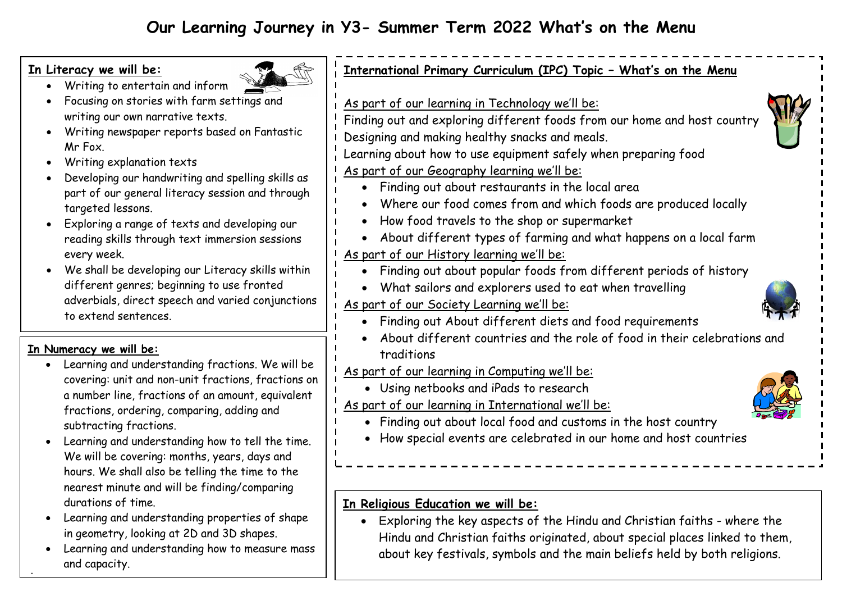# **In Literacy we will be:**



- Writing to entertain and inform Focusing on stories with farm settings and
- writing our own narrative texts. Writing newspaper reports based on Fantastic Mr Fox.
- Writing explanation texts
- Developing our handwriting and spelling skills as part of our general literacy session and through targeted lessons.
- Exploring a range of texts and developing our reading skills through text immersion sessions every week.
- We shall be developing our Literacy skills within different genres; beginning to use fronted adverbials, direct speech and varied conjunctions to extend sentences.

# **In Numeracy we will be:**

.'

- Learning and understanding fractions. We will be covering: unit and non-unit fractions, fractions on a number line, fractions of an amount, equivalent fractions, ordering, comparing, adding and subtracting fractions.
- Learning and understanding how to tell the time. We will be covering: months, years, days and hours. We shall also be telling the time to the nearest minute and will be finding/comparing durations of time.
- Learning and understanding properties of shape in geometry, looking at 2D and 3D shapes.
- Learning and understanding how to measure mass and capacity.

# **International Primary Curriculum (IPC) Topic – What's on the Menu**

- As part of our learning in Technology we'll be:
- Finding out and exploring different foods from our home and host country Designing and making healthy snacks and meals.
- Learning about how to use equipment safely when preparing food
- As part of our Geography learning we'll be:
	- Finding out about restaurants in the local area
	- Where our food comes from and which foods are produced locally
	- How food travels to the shop or supermarket
	- About different types of farming and what happens on a local farm

# As part of our History learning we'll be:

- Finding out about popular foods from different periods of history
- What sailors and explorers used to eat when travelling

# As part of our Society Learning we'll be:

- Finding out About different diets and food requirements
- About different countries and the role of food in their celebrations and traditions
- As part of our learning in Computing we'll be:
	- Using netbooks and iPads to research
- As part of our learning in International we'll be:



- Finding out about local food and customs in the host country
- How special events are celebrated in our home and host countries

## **In Religious Education we will be:**

 Exploring the key aspects of the Hindu and Christian faiths - where the Hindu and Christian faiths originated, about special places linked to them, about key festivals, symbols and the main beliefs held by both religions.